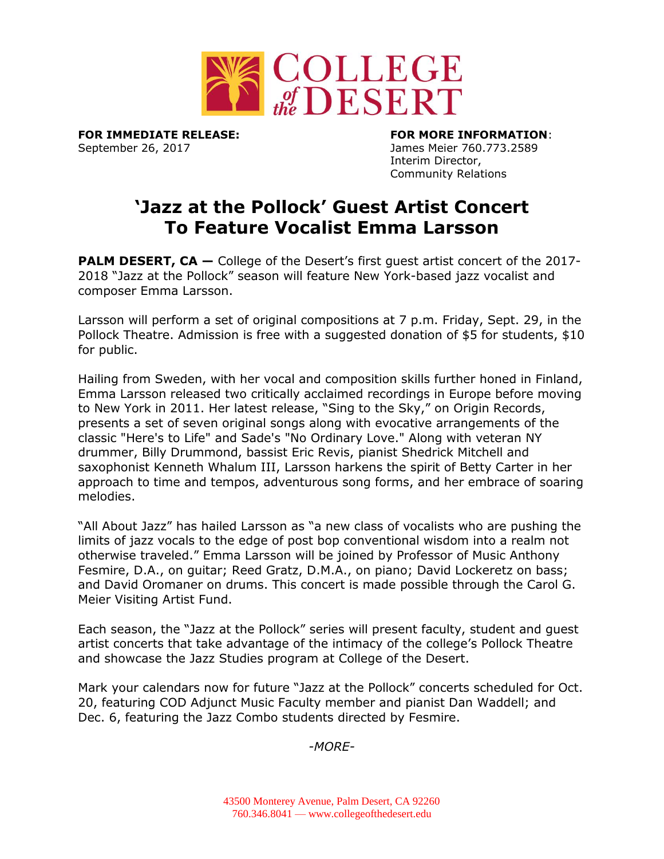

September 26, 2017 James Meier 760.773.2589

**FOR IMMEDIATE RELEASE: FOR MORE INFORMATION**: Interim Director, Community Relations

## **'Jazz at the Pollock' Guest Artist Concert To Feature Vocalist Emma Larsson**

**PALM DESERT, CA** – College of the Desert's first quest artist concert of the 2017-2018 "Jazz at the Pollock" season will feature New York-based jazz vocalist and composer Emma Larsson.

Larsson will perform a set of original compositions at 7 p.m. Friday, Sept. 29, in the Pollock Theatre. Admission is free with a suggested donation of \$5 for students, \$10 for public.

Hailing from Sweden, with her vocal and composition skills further honed in Finland, Emma Larsson released two critically acclaimed recordings in Europe before moving to New York in 2011. Her latest release, "Sing to the Sky," on Origin Records, presents a set of seven original songs along with evocative arrangements of the classic "Here's to Life" and Sade's "No Ordinary Love." Along with veteran NY drummer, Billy Drummond, bassist Eric Revis, pianist Shedrick Mitchell and saxophonist Kenneth Whalum III, Larsson harkens the spirit of Betty Carter in her approach to time and tempos, adventurous song forms, and her embrace of soaring melodies.

"All About Jazz" has hailed Larsson as "a new class of vocalists who are pushing the limits of jazz vocals to the edge of post bop conventional wisdom into a realm not otherwise traveled." Emma Larsson will be joined by Professor of Music Anthony Fesmire, D.A., on guitar; Reed Gratz, D.M.A., on piano; David Lockeretz on bass; and David Oromaner on drums. This concert is made possible through the Carol G. Meier Visiting Artist Fund.

Each season, the "Jazz at the Pollock" series will present faculty, student and guest artist concerts that take advantage of the intimacy of the college's Pollock Theatre and showcase the Jazz Studies program at College of the Desert.

Mark your calendars now for future "Jazz at the Pollock" concerts scheduled for Oct. 20, featuring COD Adjunct Music Faculty member and pianist Dan Waddell; and Dec. 6, featuring the Jazz Combo students directed by Fesmire.

*-MORE-*